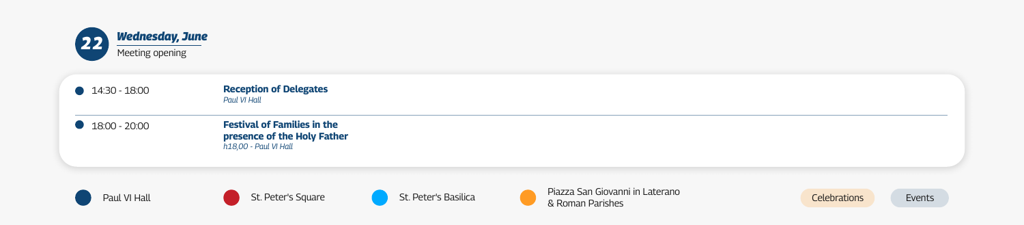## 14:30 - 18:00 **Reception of Delegates** *Paul VI Hall*



## 18:00 - 20:00 **Festival of Families in the presence of the Holy Father** *h18,00 - Paul VI Hall*













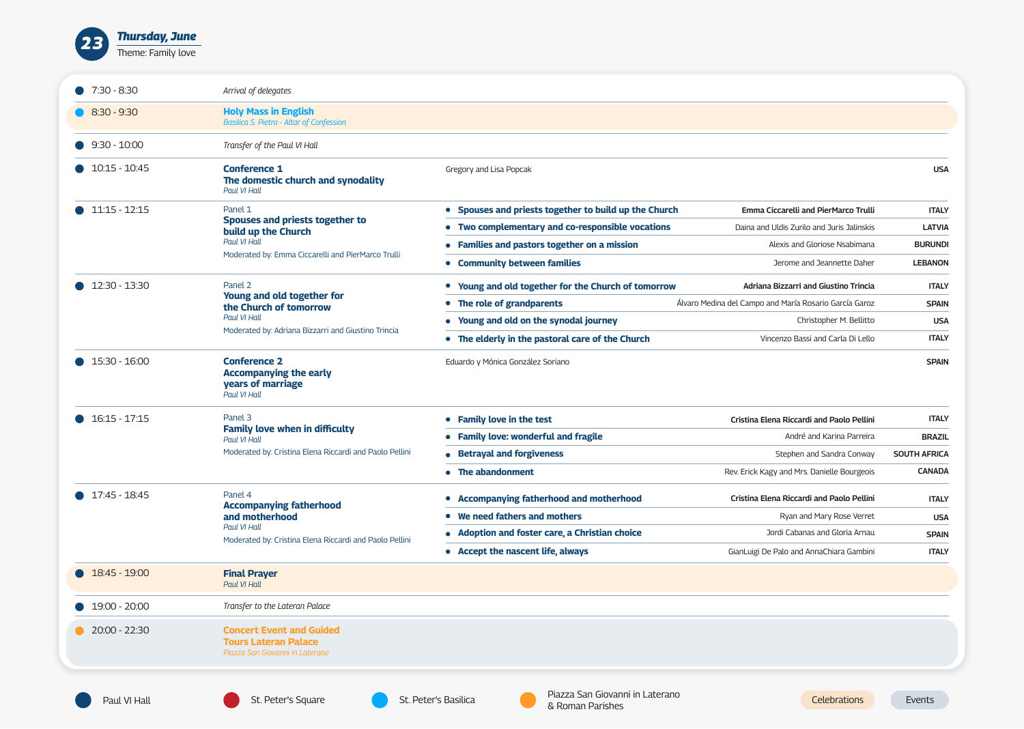

| $\bullet$ 7:30 - 8:30   | Arrival of delegates                                                                                                                   |                                                          |                                                        |                     |
|-------------------------|----------------------------------------------------------------------------------------------------------------------------------------|----------------------------------------------------------|--------------------------------------------------------|---------------------|
| $\bullet$ 8:30 - 9:30   | <b>Holy Mass in English</b><br><b>Basilica S. Pietro - Altar of Confession</b>                                                         |                                                          |                                                        |                     |
| $9:30 - 10:00$          | Transfer of the Paul VI Hall                                                                                                           |                                                          |                                                        |                     |
| $\bullet$ 10:15 - 10:45 | <b>Conference 1</b><br>The domestic church and synodality<br>Paul VI Hall                                                              | Gregory and Lisa Popcak                                  |                                                        | <b>USA</b>          |
| $\bullet$ 11:15 - 12:15 | Panel 1                                                                                                                                | • Spouses and priests together to build up the Church    | <b>Emma Ciccarelli and PierMarco Trulli</b>            | <b>ITALY</b>        |
|                         | Spouses and priests together to<br>build up the Church                                                                                 | Two complementary and co-responsible vocations           | Daina and Uldis Zurilo and Juris Jalinskis             | <b>LATVIA</b>       |
|                         | Paul VI Hall                                                                                                                           | • Families and pastors together on a mission             | Alexis and Gloriose Nsabimana                          | <b>BURUNDI</b>      |
|                         | Moderated by: Emma Ciccarelli and PierMarco Trulli                                                                                     | <b>Community between families</b>                        | Jerome and Jeannette Daher                             | <b>LEBANON</b>      |
| $\bullet$ 12:30 - 13:30 | Panel 2                                                                                                                                | <b>Young and old together for the Church of tomorrow</b> | <b>Adriana Bizzarri and Giustino Trincia</b>           | <b>ITALY</b>        |
|                         | <b>Young and old together for</b><br>the Church of tomorrow                                                                            | The role of grandparents                                 | Álvaro Medina del Campo and María Rosario García Garoz | <b>SPAIN</b>        |
|                         | Paul VI Hall                                                                                                                           | Young and old on the synodal journey                     | Christopher M. Bellitto                                | <b>USA</b>          |
|                         | Moderated by: Adriana Bizzarri and Giustino Trincia                                                                                    | • The elderly in the pastoral care of the Church         | Vincenzo Bassi and Carla Di Lello                      | <b>ITALY</b>        |
| $\bullet$ 15:30 - 16:00 | <b>Conference 2</b><br><b>Accompanying the early</b><br><b>years of marriage</b><br>Paul VI Hall                                       | Eduardo y Mónica González Soriano                        |                                                        | <b>SPAIN</b>        |
| $\bullet$ 16:15 - 17:15 | Panel 3<br><b>Family love when in difficulty</b><br>Paul VI Hall<br>Moderated by: Cristina Elena Riccardi and Paolo Pellini            | <b>Family love in the test</b>                           | Cristina Elena Riccardi and Paolo Pellini              | <b>ITALY</b>        |
|                         |                                                                                                                                        | • Family love: wonderful and fragile                     | André and Karina Parreira                              | <b>BRAZIL</b>       |
|                         |                                                                                                                                        | • Betrayal and forgiveness                               | Stephen and Sandra Conway                              | <b>SOUTH AFRICA</b> |
|                         |                                                                                                                                        | • The abandonment                                        | Rev. Erick Kagy and Mrs. Danielle Bourgeois            | <b>CANADA</b>       |
| $\bullet$ 17:45 - 18:45 | Panel 4<br><b>Accompanying fatherhood</b><br>and motherhood<br>Paul VI Hall<br>Moderated by: Cristina Elena Riccardi and Paolo Pellini | <b>Accompanying fatherhood and motherhood</b>            | Cristina Elena Riccardi and Paolo Pellini              | <b>ITALY</b>        |
|                         |                                                                                                                                        | We need fathers and mothers                              | Ryan and Mary Rose Verret                              | <b>USA</b>          |
|                         |                                                                                                                                        | • Adoption and foster care, a Christian choice           | Jordi Cabanas and Gloria Arnau                         | <b>SPAIN</b>        |
|                         |                                                                                                                                        | • Accept the nascent life, always                        | GianLuigi De Palo and AnnaChiara Gambini               | <b>ITALY</b>        |
| $\bullet$ 18:45 - 19:00 | <b>Final Prayer</b><br>Paul VI Hall                                                                                                    |                                                          |                                                        |                     |
| $\bullet$ 19:00 - 20:00 | Transfer to the Lateran Palace                                                                                                         |                                                          |                                                        |                     |
| $\bullet$ 20:00 - 22:30 | <b>Concert Event and Guided</b><br><b>Tours Lateran Palace</b><br>Piazza San Giovanni in Laterano                                      |                                                          |                                                        |                     |







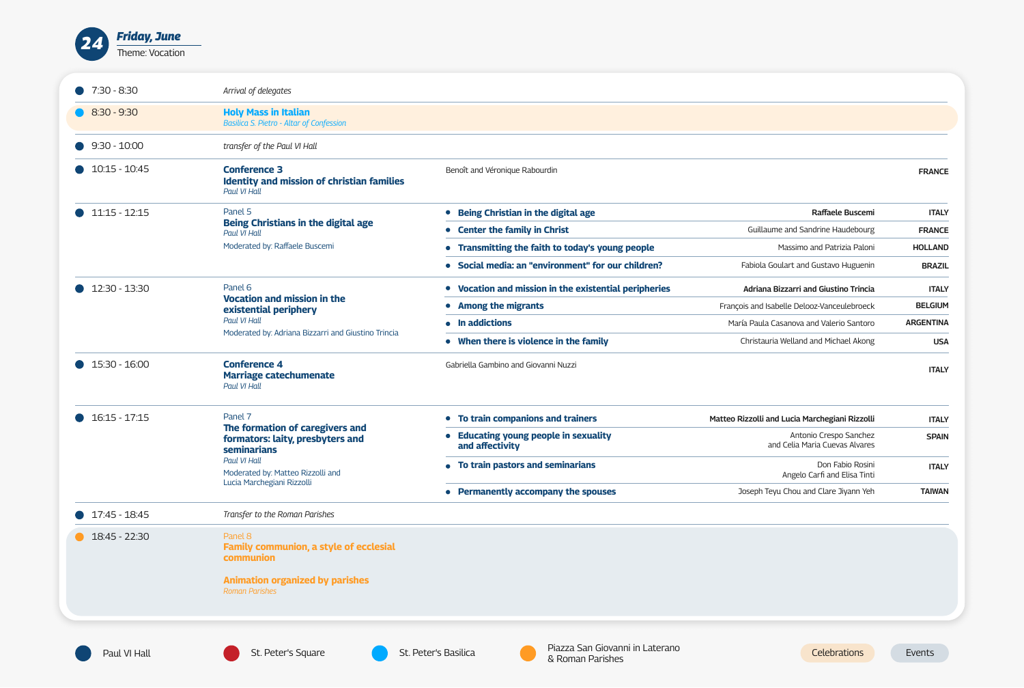

| $\bullet$ 7:30 - 8:30   | Arrival of delegates                                                                                                                                      |                                                               |                                                          |                  |
|-------------------------|-----------------------------------------------------------------------------------------------------------------------------------------------------------|---------------------------------------------------------------|----------------------------------------------------------|------------------|
| $\bullet$ 8:30 - 9:30   | <b>Holy Mass in Italian</b><br><b>Basilica S. Pietro - Altar of Confession</b>                                                                            |                                                               |                                                          |                  |
| $9:30 - 10:00$          | transfer of the Paul VI Hall                                                                                                                              |                                                               |                                                          |                  |
| $\bullet$ 10:15 - 10:45 | <b>Conference 3</b><br><b>Identity and mission of christian families</b><br>Paul VI Hall                                                                  | Benoît and Véronique Rabourdin                                |                                                          | <b>FRANCE</b>    |
| $\bullet$ 11:15 - 12:15 | Panel 5                                                                                                                                                   | <b>Being Christian in the digital age</b>                     | <b>Raffaele Buscemi</b>                                  | <b>ITALY</b>     |
|                         | <b>Being Christians in the digital age</b><br>Paul VI Hall                                                                                                | <b>Center the family in Christ</b>                            | Guillaume and Sandrine Haudebourg                        | <b>FRANCE</b>    |
|                         | Moderated by: Raffaele Buscemi                                                                                                                            | <b>Transmitting the faith to today's young people</b>         | Massimo and Patrizia Paloni                              | <b>HOLLAND</b>   |
|                         |                                                                                                                                                           | • Social media: an "environment" for our children?            | Fabiola Goulart and Gustavo Huguenin                     | <b>BRAZIL</b>    |
| $12:30 - 13:30$         | Panel 6                                                                                                                                                   | Vocation and mission in the existential peripheries           | <b>Adriana Bizzarri and Giustino Trincia</b>             | <b>ITALY</b>     |
|                         | <b>Vocation and mission in the</b><br>existential periphery                                                                                               | <b>Among the migrants</b>                                     | François and Isabelle Delooz-Vanceulebroeck              | <b>BELGIUM</b>   |
|                         | Paul VI Hall                                                                                                                                              | • In addictions                                               | María Paula Casanova and Valerio Santoro                 | <b>ARGENTINA</b> |
|                         | Moderated by: Adriana Bizzarri and Giustino Trincia                                                                                                       | • When there is violence in the family                        | Christauria Welland and Michael Akong                    | <b>USA</b>       |
| $\bullet$ 15:30 - 16:00 | <b>Conference 4</b><br><b>Marriage catechumenate</b><br>Paul VI Hall                                                                                      | Gabriella Gambino and Giovanni Nuzzi                          |                                                          | <b>ITALY</b>     |
| $\bullet$ 16:15 - 17:15 | Panel 7<br>The formation of caregivers and<br>formators: laity, presbyters and<br><b>seminarians</b><br>Paul VI Hall<br>Moderated by: Matteo Rizzolli and | • To train companions and trainers                            | Matteo Rizzolli and Lucia Marchegiani Rizzolli           | <b>ITALY</b>     |
|                         |                                                                                                                                                           | <b>Educating young people in sexuality</b><br>and affectivity | Antonio Crespo Sanchez<br>and Celia Maria Cuevas Alvares | <b>SPAIN</b>     |
|                         |                                                                                                                                                           | • To train pastors and seminarians                            | Don Fabio Rosini<br>Angelo Carfi and Elisa Tinti         | <b>ITALY</b>     |
|                         | Lucia Marchegiani Rizzolli                                                                                                                                | • Permanently accompany the spouses                           | Joseph Teyu Chou and Clare Jiyann Yeh                    | <b>TAIWAN</b>    |
| $\bullet$ 17:45 - 18:45 | Transfer to the Roman Parishes                                                                                                                            |                                                               |                                                          |                  |
| $\bullet$ 18:45 - 22:30 | Panel 8<br><b>Family communion, a style of ecclesial</b><br><b>communion</b><br><b>Animation organized by parishes</b><br><b>Roman Parishes</b>           |                                                               |                                                          |                  |







| <b>g Christian in the digital age</b>           | <b>Raffaele Buscemi</b>                      | <b>ITALY</b>     |
|-------------------------------------------------|----------------------------------------------|------------------|
| er the family in Christ                         | Guillaume and Sandrine Haudebourg            | <b>FRANCE</b>    |
| smitting the faith to today's young people      | Massimo and Patrizia Paloni                  | <b>HOLLAND</b>   |
| ll media: an "environment" for our children?    | Fabiola Goulart and Gustavo Huguenin         | <b>BRAZIL</b>    |
| tion and mission in the existential peripheries | <b>Adriana Bizzarri and Giustino Trincia</b> | <b>ITALY</b>     |
| ng the migrants                                 | François and Isabelle Delooz-Vanceulebroeck  | <b>BELGIUM</b>   |
| dictions                                        | María Paula Casanova and Valerio Santoro     | <b>ARGENTINA</b> |
| I there is violence in the family               | Christauria Welland and Michael Akong        | <b>USA</b>       |
|                                                 |                                              |                  |

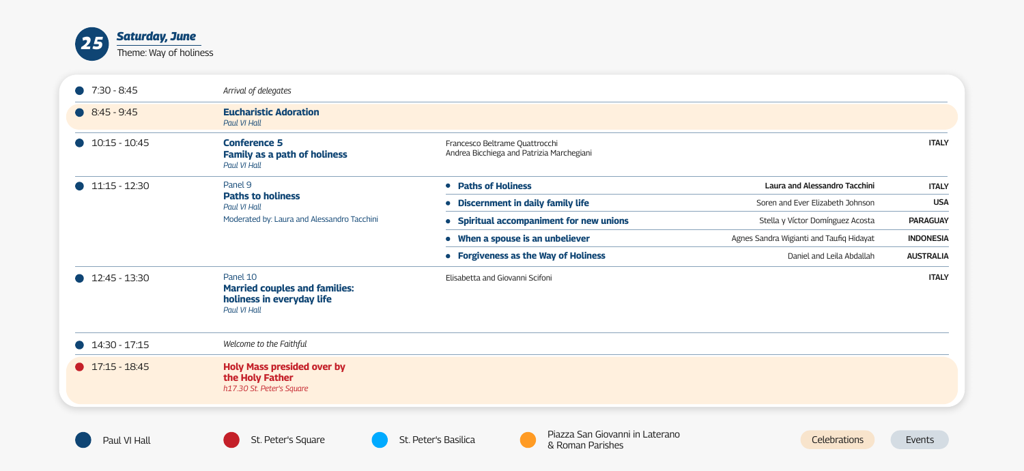

| $7:30 - 8:45$   | Arrival of delegates                                                                                 |                                                                              |
|-----------------|------------------------------------------------------------------------------------------------------|------------------------------------------------------------------------------|
| $8:45 - 9:45$   | <b>Eucharistic Adoration</b><br>Paul VI Hall                                                         |                                                                              |
| $10:15 - 10:45$ | <b>Conference 5</b><br><b>Family as a path of holiness</b><br>Paul VI Hall                           | Francesco<br>Andrea Bio                                                      |
| $11:15 - 12:30$ | Panel 9<br><b>Paths to holiness</b><br>Paul VI Hall<br>Moderated by: Laura and Alessandro Tacchini   | <b>Paths</b><br><b>Disce</b><br><b>Spirit</b><br><b>When</b><br><b>Forgi</b> |
| 12:45 - 13:30   | Panel 10<br><b>Married couples and families:</b><br>holiness in everyday life<br><b>Paul VI Hall</b> | Elisabetta                                                                   |
| 14:30 - 17:15   | Welcome to the Faithful                                                                              |                                                                              |
| $17:15 - 18:45$ | <b>Holy Mass presided over by</b><br>the Holy Father<br>h17.30 St. Peter's Square                    |                                                                              |







| Francesco Beltrame Quattrocchi<br>Andrea Bicchiega and Patrizia Marchegiani |                                          | <b>ITALY</b>     |
|-----------------------------------------------------------------------------|------------------------------------------|------------------|
| • Paths of Holiness                                                         | <b>Laura and Alessandro Tacchini</b>     | <b>ITALY</b>     |
| • Discernment in daily family life                                          | Soren and Ever Elizabeth Johnson         | <b>USA</b>       |
| • Spiritual accompaniment for new unions                                    | Stella y Víctor Domínguez Acosta         | <b>PARAGUAY</b>  |
| • When a spouse is an unbeliever                                            | Agnes Sandra Wigianti and Taufiq Hidayat | <b>INDONESIA</b> |
| • Forgiveness as the Way of Holiness                                        | Daniel and Leila Abdallah                | <b>AUSTRALIA</b> |
| Elisabetta and Giovanni Scifoni                                             |                                          | <b>ITALY</b>     |